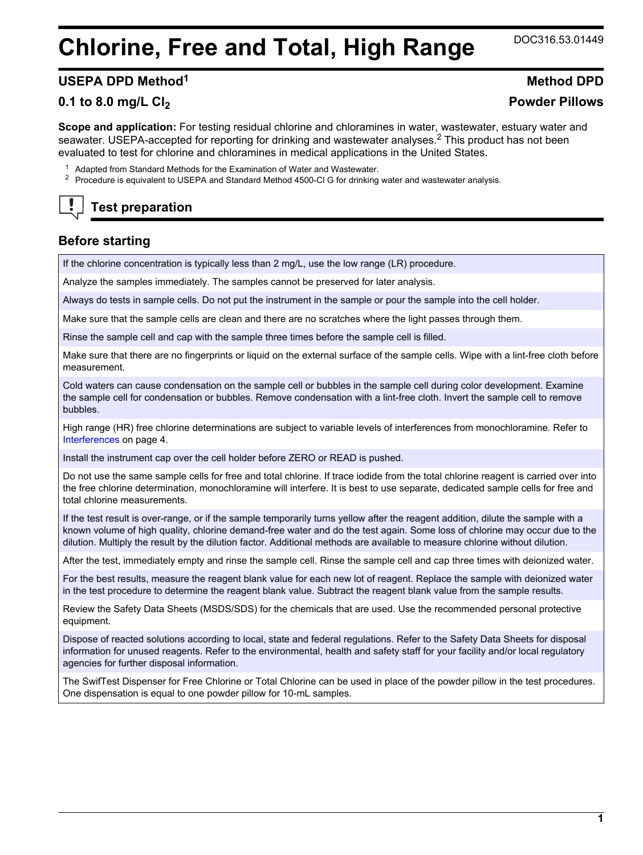# **Chlorine, Free and Total, High Range** DOC316.53.01449

# **USEPA DPD Method<sup>1</sup> Method DPD**

# **0.1 to 8.0 mg/L Cl<sup>2</sup> Powder Pillows**

**Scope and application:** For testing residual chlorine and chloramines in water, wastewater, estuary water and seawater. USEPA-accepted for reporting for drinking and wastewater analyses.<sup>2</sup> This product has not been evaluated to test for chlorine and chloramines in medical applications in the United States.

- <sup>1</sup> Adapted from Standard Methods for the Examination of Water and Wastewater.
- <sup>2</sup> Procedure is equivalent to USEPA and Standard Method 4500-Cl G for drinking water and wastewater analysis.

# **Test preparation**

# **Before starting**

If the chlorine concentration is typically less than 2 mg/L, use the low range (LR) procedure.

Analyze the samples immediately. The samples cannot be preserved for later analysis.

Always do tests in sample cells. Do not put the instrument in the sample or pour the sample into the cell holder.

Make sure that the sample cells are clean and there are no scratches where the light passes through them.

Rinse the sample cell and cap with the sample three times before the sample cell is filled.

Make sure that there are no fingerprints or liquid on the external surface of the sample cells. Wipe with a lint-free cloth before measurement.

Cold waters can cause condensation on the sample cell or bubbles in the sample cell during color development. Examine the sample cell for condensation or bubbles. Remove condensation with a lint-free cloth. Invert the sample cell to remove bubbles.

High range (HR) free chlorine determinations are subject to variable levels of interferences from monochloramine. Refer to [Interferences](#page-3-0) on page 4.

Install the instrument cap over the cell holder before ZERO or READ is pushed.

Do not use the same sample cells for free and total chlorine. If trace iodide from the total chlorine reagent is carried over into the free chlorine determination, monochloramine will interfere. It is best to use separate, dedicated sample cells for free and total chlorine measurements.

If the test result is over-range, or if the sample temporarily turns yellow after the reagent addition, dilute the sample with a known volume of high quality, chlorine demand-free water and do the test again. Some loss of chlorine may occur due to the dilution. Multiply the result by the dilution factor. Additional methods are available to measure chlorine without dilution.

After the test, immediately empty and rinse the sample cell. Rinse the sample cell and cap three times with deionized water.

For the best results, measure the reagent blank value for each new lot of reagent. Replace the sample with deionized water in the test procedure to determine the reagent blank value. Subtract the reagent blank value from the sample results.

Review the Safety Data Sheets (MSDS/SDS) for the chemicals that are used. Use the recommended personal protective equipment.

Dispose of reacted solutions according to local, state and federal regulations. Refer to the Safety Data Sheets for disposal information for unused reagents. Refer to the environmental, health and safety staff for your facility and/or local regulatory agencies for further disposal information.

The SwifTest Dispenser for Free Chlorine or Total Chlorine can be used in place of the powder pillow in the test procedures. One dispensation is equal to one powder pillow for 10-mL samples.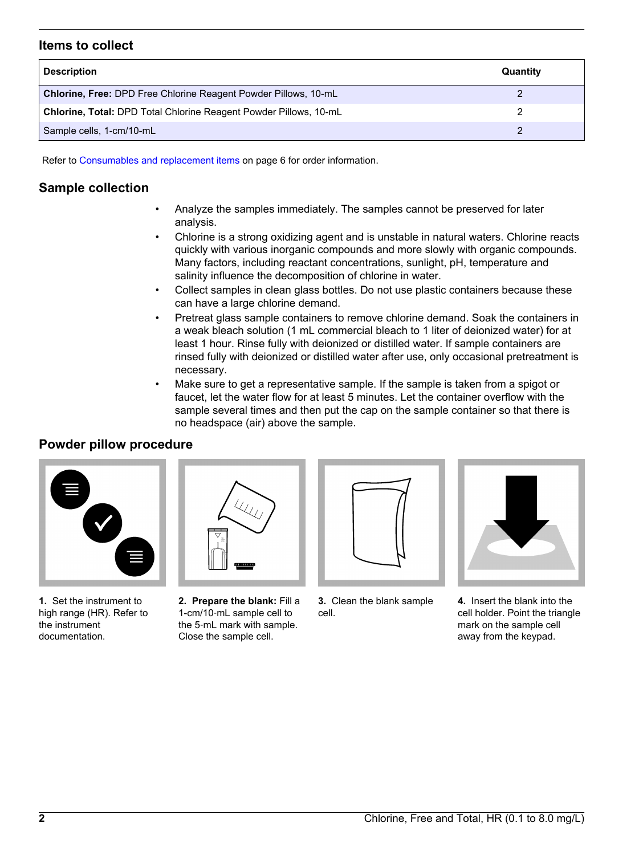# **Items to collect**

| <b>Description</b>                                                | Quantity |
|-------------------------------------------------------------------|----------|
| Chlorine, Free: DPD Free Chlorine Reagent Powder Pillows, 10-mL   |          |
| Chlorine, Total: DPD Total Chlorine Reagent Powder Pillows, 10-mL |          |
| Sample cells, 1-cm/10-mL                                          |          |

Refer to [Consumables and replacement items](#page-5-0) on page 6 for order information.

# **Sample collection**

- Analyze the samples immediately. The samples cannot be preserved for later analysis.
- Chlorine is a strong oxidizing agent and is unstable in natural waters. Chlorine reacts quickly with various inorganic compounds and more slowly with organic compounds. Many factors, including reactant concentrations, sunlight, pH, temperature and salinity influence the decomposition of chlorine in water.
- Collect samples in clean glass bottles. Do not use plastic containers because these can have a large chlorine demand.
- Pretreat glass sample containers to remove chlorine demand. Soak the containers in a weak bleach solution (1 mL commercial bleach to 1 liter of deionized water) for at least 1 hour. Rinse fully with deionized or distilled water. If sample containers are rinsed fully with deionized or distilled water after use, only occasional pretreatment is necessary.
- Make sure to get a representative sample. If the sample is taken from a spigot or faucet, let the water flow for at least 5 minutes. Let the container overflow with the sample several times and then put the cap on the sample container so that there is no headspace (air) above the sample.

# **Powder pillow procedure**



**1.** Set the instrument to high range (HR). Refer to the instrument documentation.



**2. Prepare the blank:** Fill a 1-cm/10‑mL sample cell to the 5‑mL mark with sample. Close the sample cell.



**3.** Clean the blank sample cell.



**4.** Insert the blank into the cell holder. Point the triangle mark on the sample cell away from the keypad.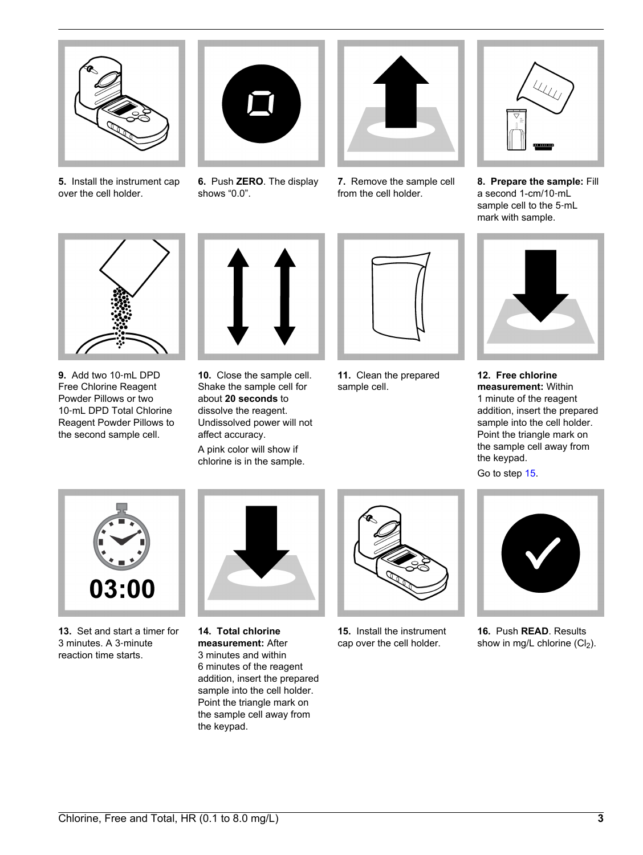

**5.** Install the instrument cap over the cell holder.



**6.** Push **ZERO**. The display shows "0.0".



**7.** Remove the sample cell from the cell holder.



**8. Prepare the sample:** Fill a second 1-cm/10‑mL sample cell to the 5-mL mark with sample.



**9.** Add two 10‑mL DPD Free Chlorine Reagent Powder Pillows or two 10-mL DPD Total Chlorine Reagent Powder Pillows to the second sample cell.



**10.** Close the sample cell. Shake the sample cell for about **20 seconds** to dissolve the reagent. Undissolved power will not affect accuracy.

A pink color will show if chlorine is in the sample.



**11.** Clean the prepared sample cell.



**12. Free chlorine measurement:** Within 1 minute of the reagent addition, insert the prepared sample into the cell holder. Point the triangle mark on the sample cell away from the keypad.

Go to step 15.



**13.** Set and start a timer for 3 minutes. A 3‑minute reaction time starts.



**14. Total chlorine measurement:** After 3 minutes and within 6 minutes of the reagent addition, insert the prepared sample into the cell holder. Point the triangle mark on the sample cell away from the keypad.



**15.** Install the instrument cap over the cell holder.



**16.** Push **READ**. Results show in mg/L chlorine  $(Cl<sub>2</sub>)$ .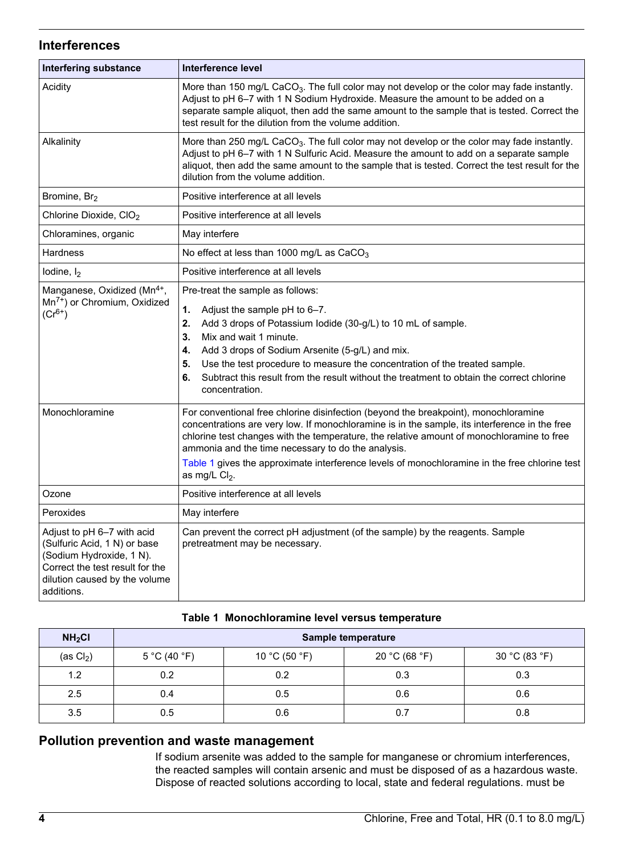# <span id="page-3-0"></span>**Interferences**

| <b>Interfering substance</b>                                                                                                                                             | <b>Interference level</b>                                                                                                                                                                                                                                                                                                                                                                                                                                   |
|--------------------------------------------------------------------------------------------------------------------------------------------------------------------------|-------------------------------------------------------------------------------------------------------------------------------------------------------------------------------------------------------------------------------------------------------------------------------------------------------------------------------------------------------------------------------------------------------------------------------------------------------------|
| Acidity                                                                                                                                                                  | More than 150 mg/L CaCO <sub>3</sub> . The full color may not develop or the color may fade instantly.<br>Adjust to pH 6-7 with 1 N Sodium Hydroxide. Measure the amount to be added on a<br>separate sample aliquot, then add the same amount to the sample that is tested. Correct the<br>test result for the dilution from the volume addition.                                                                                                          |
| Alkalinity                                                                                                                                                               | More than 250 mg/L CaCO <sub>3</sub> . The full color may not develop or the color may fade instantly.<br>Adjust to pH 6-7 with 1 N Sulfuric Acid. Measure the amount to add on a separate sample<br>aliquot, then add the same amount to the sample that is tested. Correct the test result for the<br>dilution from the volume addition.                                                                                                                  |
| Bromine, Br <sub>2</sub>                                                                                                                                                 | Positive interference at all levels                                                                                                                                                                                                                                                                                                                                                                                                                         |
| Chlorine Dioxide, CIO <sub>2</sub>                                                                                                                                       | Positive interference at all levels                                                                                                                                                                                                                                                                                                                                                                                                                         |
| Chloramines, organic                                                                                                                                                     | May interfere                                                                                                                                                                                                                                                                                                                                                                                                                                               |
| <b>Hardness</b>                                                                                                                                                          | No effect at less than 1000 mg/L as CaCO <sub>3</sub>                                                                                                                                                                                                                                                                                                                                                                                                       |
| lodine, $I_2$                                                                                                                                                            | Positive interference at all levels                                                                                                                                                                                                                                                                                                                                                                                                                         |
| Manganese, Oxidized (Mn <sup>4+</sup> ,<br>Mn <sup>7+</sup> ) or Chromium, Oxidized<br>$(Cr^{6+})$                                                                       | Pre-treat the sample as follows:<br>1.<br>Adjust the sample pH to 6-7.<br>2.<br>Add 3 drops of Potassium lodide (30-g/L) to 10 mL of sample.<br>Mix and wait 1 minute.<br>3.<br>Add 3 drops of Sodium Arsenite (5-g/L) and mix.<br>4.<br>Use the test procedure to measure the concentration of the treated sample.<br>5.<br>Subtract this result from the result without the treatment to obtain the correct chlorine<br>6.<br>concentration.              |
| Monochloramine                                                                                                                                                           | For conventional free chlorine disinfection (beyond the breakpoint), monochloramine<br>concentrations are very low. If monochloramine is in the sample, its interference in the free<br>chlorine test changes with the temperature, the relative amount of monochloramine to free<br>ammonia and the time necessary to do the analysis.<br>Table 1 gives the approximate interference levels of monochloramine in the free chlorine test<br>as mg/L $Cl2$ . |
| Ozone                                                                                                                                                                    | Positive interference at all levels                                                                                                                                                                                                                                                                                                                                                                                                                         |
| Peroxides                                                                                                                                                                | May interfere                                                                                                                                                                                                                                                                                                                                                                                                                                               |
| Adjust to pH 6-7 with acid<br>(Sulfuric Acid, 1 N) or base<br>(Sodium Hydroxide, 1 N).<br>Correct the test result for the<br>dilution caused by the volume<br>additions. | Can prevent the correct pH adjustment (of the sample) by the reagents. Sample<br>pretreatment may be necessary.                                                                                                                                                                                                                                                                                                                                             |

## **Table 1 Monochloramine level versus temperature**

| NH <sub>2</sub> Cl | Sample temperature |               |               |               |
|--------------------|--------------------|---------------|---------------|---------------|
| (as $Cl2$ )        | 5 °C (40 °F)       | 10 °C (50 °F) | 20 °C (68 °F) | 30 °C (83 °F) |
| 1.2                | 0.2                | 0.2           | 0.3           | 0.3           |
| 2.5                | 0.4                | 0.5           | 0.6           | 0.6           |
| 3.5                | 0.5                | 0.6           | 0.7           | 0.8           |

# **Pollution prevention and waste management**

If sodium arsenite was added to the sample for manganese or chromium interferences, the reacted samples will contain arsenic and must be disposed of as a hazardous waste. Dispose of reacted solutions according to local, state and federal regulations. must be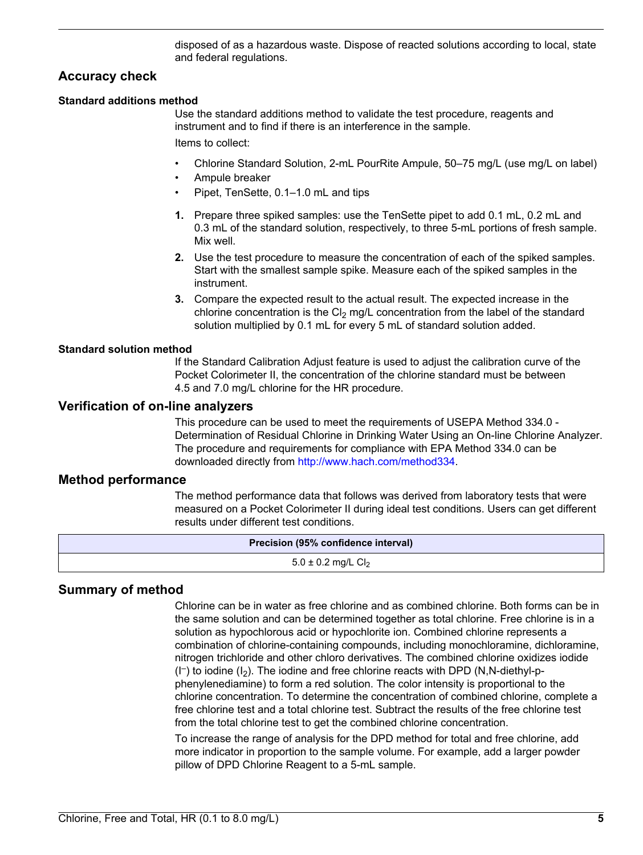disposed of as a hazardous waste. Dispose of reacted solutions according to local, state and federal regulations.

# **Accuracy check**

## **Standard additions method**

Use the standard additions method to validate the test procedure, reagents and instrument and to find if there is an interference in the sample. Items to collect:

- Chlorine Standard Solution, 2-mL PourRite Ampule, 50–75 mg/L (use mg/L on label)
- Ampule breaker
- Pipet, TenSette, 0.1–1.0 mL and tips
- **1.** Prepare three spiked samples: use the TenSette pipet to add 0.1 mL, 0.2 mL and 0.3 mL of the standard solution, respectively, to three 5-mL portions of fresh sample. Mix well.
- **2.** Use the test procedure to measure the concentration of each of the spiked samples. Start with the smallest sample spike. Measure each of the spiked samples in the instrument.
- **3.** Compare the expected result to the actual result. The expected increase in the chlorine concentration is the  $Cl<sub>2</sub>$  mg/L concentration from the label of the standard solution multiplied by 0.1 mL for every 5 mL of standard solution added.

#### **Standard solution method**

If the Standard Calibration Adjust feature is used to adjust the calibration curve of the Pocket Colorimeter II, the concentration of the chlorine standard must be between 4.5 and 7.0 mg/L chlorine for the HR procedure.

## **Verification of on-line analyzers**

This procedure can be used to meet the requirements of USEPA Method 334.0 - Determination of Residual Chlorine in Drinking Water Using an On-line Chlorine Analyzer. The procedure and requirements for compliance with EPA Method 334.0 can be downloaded directly from [http://www.hach.com/method334.](http://www.hach.com/method334)

## **Method performance**

The method performance data that follows was derived from laboratory tests that were measured on a Pocket Colorimeter II during ideal test conditions. Users can get different results under different test conditions.

| Precision (95% confidence interval) |
|-------------------------------------|
| $5.0 \pm 0.2$ mg/L Cl <sub>2</sub>  |

# **Summary of method**

Chlorine can be in water as free chlorine and as combined chlorine. Both forms can be in the same solution and can be determined together as total chlorine. Free chlorine is in a solution as hypochlorous acid or hypochlorite ion. Combined chlorine represents a combination of chlorine-containing compounds, including monochloramine, dichloramine, nitrogen trichloride and other chloro derivatives. The combined chlorine oxidizes iodide  $(I^-)$  to iodine  $(I_2)$ . The iodine and free chlorine reacts with DPD (N,N-diethyl-pphenylenediamine) to form a red solution. The color intensity is proportional to the chlorine concentration. To determine the concentration of combined chlorine, complete a free chlorine test and a total chlorine test. Subtract the results of the free chlorine test from the total chlorine test to get the combined chlorine concentration.

To increase the range of analysis for the DPD method for total and free chlorine, add more indicator in proportion to the sample volume. For example, add a larger powder pillow of DPD Chlorine Reagent to a 5-mL sample.